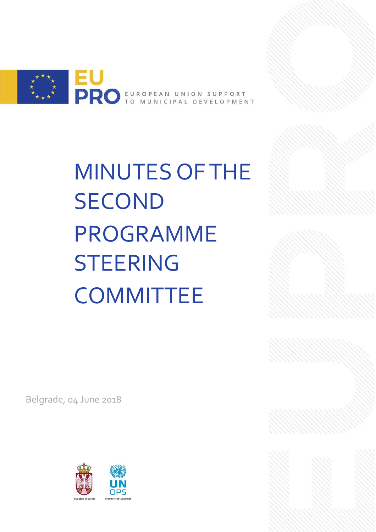

MINUTES OF THE SECOND PROGRAMME **STEERING COMMITTEE** 

Belgrade, 04 June 2018



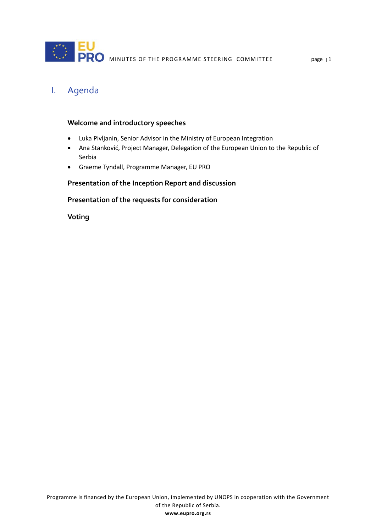

# I. Agenda

#### **Welcome and introductory speeches**

- Luka Pivljanin, Senior Advisor in the Ministry of European Integration
- Ana Stanković, Project Manager, Delegation of the European Union to the Republic of Serbia
- Graeme Tyndall, Programme Manager, EU PRO

#### **Presentation of the Inception Report and discussion**

### **Presentation of the requests for consideration**

**Voting**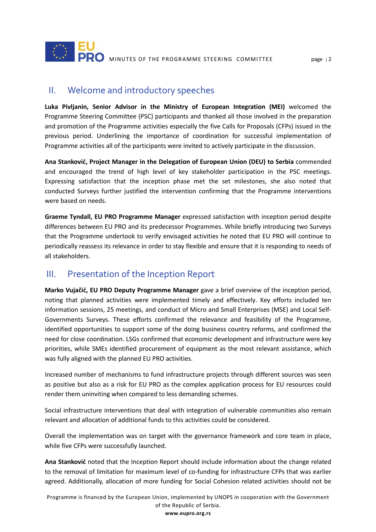

### II. Welcome and introductory speeches

**Luka Pivljanin, Senior Advisor in the Ministry of European Integration (MEI)** welcomed the Programme Steering Committee (PSC) participants and thanked all those involved in the preparation and promotion of the Programme activities especially the five Calls for Proposals (CFPs) issued in the previous period. Underlining the importance of coordination for successful implementation of Programme activities all of the participants were invited to actively participate in the discussion.

**Ana Stanković, Project Manager in the Delegation of European Union (DEU) to Serbia** commended and encouraged the trend of high level of key stakeholder participation in the PSC meetings. Expressing satisfaction that the inception phase met the set milestones, she also noted that conducted Surveys further justified the intervention confirming that the Programme interventions were based on needs.

**Graeme Tyndall, EU PRO Programme Manager** expressed satisfaction with inception period despite differences between EU PRO and its predecessor Programmes. While briefly introducing two Surveys that the Programme undertook to verify envisaged activities he noted that EU PRO will continue to periodically reassess its relevance in order to stay flexible and ensure that it is responding to needs of all stakeholders.

## III. Presentation of the Inception Report

**Marko Vujačić, EU PRO Deputy Programme Manager** gave a brief overview of the inception period, noting that planned activities were implemented timely and effectively. Key efforts included ten information sessions, 25 meetings, and conduct of Micro and Small Enterprises (MSE) and Local Self-Governments Surveys. These efforts confirmed the relevance and feasibility of the Programme, identified opportunities to support some of the doing business country reforms, and confirmed the need for close coordination. LSGs confirmed that economic development and infrastructure were key priorities, while SMEs identified procurement of equipment as the most relevant assistance, which was fully aligned with the planned EU PRO activities.

Increased number of mechanisms to fund infrastructure projects through different sources was seen as positive but also as a risk for EU PRO as the complex application process for EU resources could render them uninviting when compared to less demanding schemes.

Social infrastructure interventions that deal with integration of vulnerable communities also remain relevant and allocation of additional funds to this activities could be considered.

Overall the implementation was on target with the governance framework and core team in place, while five CFPs were successfully launched.

**Ana Stanković** noted that the Inception Report should include information about the change related to the removal of limitation for maximum level of co-funding for infrastructure CFPs that was earlier agreed. Additionally, allocation of more funding for Social Cohesion related activities should not be

Programme is financed by the European Union, implemented by UNOPS in cooperation with the Government of the Republic of Serbia.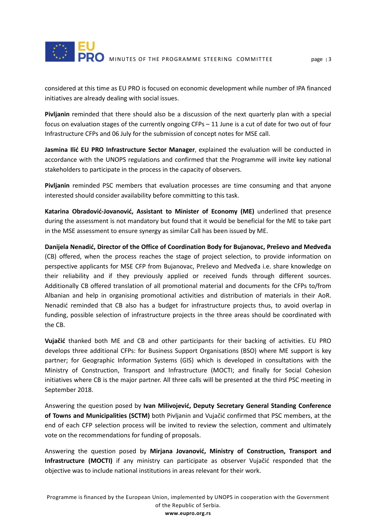

considered at this time as EU PRO is focused on economic development while number of IPA financed initiatives are already dealing with social issues.

**Pivljanin** reminded that there should also be a discussion of the next quarterly plan with a special focus on evaluation stages of the currently ongoing CFPs – 11 June is a cut of date for two out of four Infrastructure CFPs and 06 July for the submission of concept notes for MSE call.

**Jasmina Ilić EU PRO Infrastructure Sector Manager**, explained the evaluation will be conducted in accordance with the UNOPS regulations and confirmed that the Programme will invite key national stakeholders to participate in the process in the capacity of observers.

**Pivljanin** reminded PSC members that evaluation processes are time consuming and that anyone interested should consider availability before committing to this task.

**Katarina Obradović-Jovanović, Assistant to Minister of Economy (ME)** underlined that presence during the assessment is not mandatory but found that it would be beneficial for the ME to take part in the MSE assessment to ensure synergy as similar Call has been issued by ME.

**Danijela Nenadić, Director of the Office of Coordination Body for Bujanovac, Preševo and Medveđa** (CB) offered, when the process reaches the stage of project selection, to provide information on perspective applicants for MSE CFP from Bujanovac, Preševo and Medveđa i.e. share knowledge on their reliability and if they previously applied or received funds through different sources. Additionally CB offered translation of all promotional material and documents for the CFPs to/from Albanian and help in organising promotional activities and distribution of materials in their AoR. Nenadić reminded that CB also has a budget for infrastructure projects thus, to avoid overlap in funding, possible selection of infrastructure projects in the three areas should be coordinated with the CB.

**Vujačić** thanked both ME and CB and other participants for their backing of activities. EU PRO develops three additional CFPs: for Business Support Organisations (BSO) where ME support is key partner; for Geographic Information Systems (GIS) which is developed in consultations with the Ministry of Construction, Transport and Infrastructure (MOCTI; and finally for Social Cohesion initiatives where CB is the major partner. All three calls will be presented at the third PSC meeting in September 2018.

Answering the question posed by **Ivan Milivojević, Deputy Secretary General Standing Conference of Towns and Municipalities (SCTM)** both Pivljanin and Vujačić confirmed that PSC members, at the end of each CFP selection process will be invited to review the selection, comment and ultimately vote on the recommendations for funding of proposals.

Answering the question posed by **Mirjana Jovanović, Ministry of Construction, Transport and Infrastructure (MOCTI)** if any ministry can participate as observer Vujačić responded that the objective was to include national institutions in areas relevant for their work.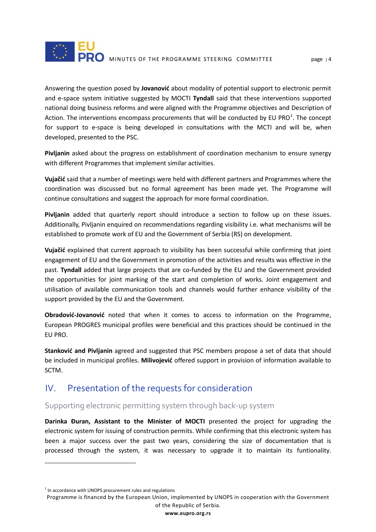

Answering the question posed by **Jovanović** about modality of potential support to electronic permit and e-space system initiative suggested by MOCTI **Tyndall** said that these interventions supported national doing business reforms and were aligned with the Programme objectives and Description of Action. The interventions encompass procurements that will be conducted by EU PRO<sup>[1](#page-4-0)</sup>. The concept for support to e-space is being developed in consultations with the MCTI and will be, when developed, presented to the PSC.

**Pivljanin** asked about the progress on establishment of coordination mechanism to ensure synergy with different Programmes that implement similar activities.

**Vujačić** said that a number of meetings were held with different partners and Programmes where the coordination was discussed but no formal agreement has been made yet. The Programme will continue consultations and suggest the approach for more formal coordination.

**Pivljanin** added that quarterly report should introduce a section to follow up on these issues. Additionally, Pivljanin enquired on recommendations regarding visibility i.e. what mechanisms will be established to promote work of EU and the Government of Serbia (RS) on development.

**Vujačić** explained that current approach to visibility has been successful while confirming that joint engagement of EU and the Government in promotion of the activities and results was effective in the past. **Tyndall** added that large projects that are co-funded by the EU and the Government provided the opportunities for joint marking of the start and completion of works. Joint engagement and utilisation of available communication tools and channels would further enhance visibility of the support provided by the EU and the Government.

**Obradović-Jovanović** noted that when it comes to access to information on the Programme, European PROGRES municipal profiles were beneficial and this practices should be continued in the EU PRO.

**Stanković and Pivljanin** agreed and suggested that PSC members propose a set of data that should be included in municipal profiles. **Milivojević** offered support in provision of information available to SCTM.

## IV. Presentation of the requests for consideration

### Supporting electronic permitting system through back-up system

**Darinka Đuran, Assistant to the Minister of MOCTI** presented the project for upgrading the electronic system for issuing of construction permits. While confirming that this electronic system has been a major success over the past two years, considering the size of documentation that is processed through the system, it was necessary to upgrade it to maintain its funtionality.

 $\overline{a}$ 

<span id="page-4-0"></span> $1$  In accordance with UNOPS procurement rules and regulations

Programme is financed by the European Union, implemented by UNOPS in cooperation with the Government of the Republic of Serbia.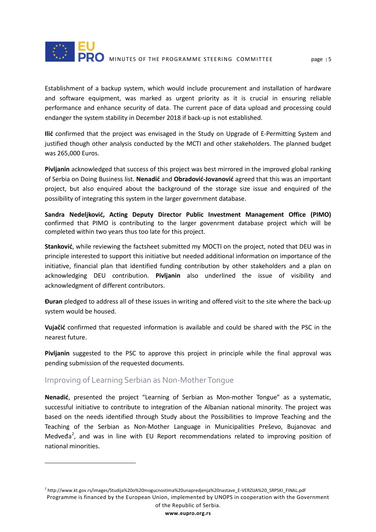

Establishment of a backup system, which would include procurement and installation of hardware and software equipment, was marked as urgent priority as it is crucial in ensuring reliable performance and enhance security of data. The current pace of data upload and processing could endanger the system stability in December 2018 if back-up is not established.

**Ilić** confirmed that the project was envisaged in the Study on Upgrade of E-Permitting System and justified though other analysis conducted by the MCTI and other stakeholders. The planned budget was 265,000 Euros.

**Pivljanin** acknowledged that success of this project was best mirrored in the improved global ranking of Serbia on Doing Business list. **Nenadić** and **Obradović-Jovanović** agreed that this was an important project, but also enquired about the background of the storage size issue and enquired of the possibility of integrating this system in the larger government database.

**Sandra Nedeljković, Acting Deputy Director Public Investment Management Office (PIMO)** confirmed that PIMO is contributing to the larger govenrment database project which will be completed within two years thus too late for this project.

**Stanković**, while reviewing the factsheet submitted my MOCTI on the project, noted that DEU was in principle interested to support this initiative but needed additional information on importance of the initiative, financial plan that identified funding contribution by other stakeholders and a plan on acknowledging DEU contribution. **Pivljanin** also underlined the issue of visibility and acknowledgment of different contributors.

**Đuran** pledged to address all of these issues in writing and offered visit to the site where the back-up system would be housed.

**Vujačić** confirmed that requested information is available and could be shared with the PSC in the nearest future.

**Pivljanin** suggested to the PSC to approve this project in principle while the final approval was pending submission of the requested documents.

### Improving of Learning Serbian as Non-Mother Tongue

 $\overline{a}$ 

**Nenadić**, presented the project "Learning of Serbian as Mon-mother Tongue" as a systematic, successful initiative to contribute to integration of the Albanian national minority. The project was based on the needs identified through Study about the Possibilities to Improve Teaching and the Teaching of the Serbian as Non-Mother Language in Municipalities Preševo, Bujanovac and Medveđa<sup>[2](#page-5-0)</sup>, and was in line with EU Report recommendations related to improving position of national minorities.

<span id="page-5-0"></span>Programme is financed by the European Union, implemented by UNOPS in cooperation with the Government of the Republic of Serbia. <sup>2</sup> http://www.kt.gov.rs/images/Studija%20o%20mogucnostima%20unapredjenja%20nastave\_E-VERZIJA%20\_SRPSKI\_FINAL.pdf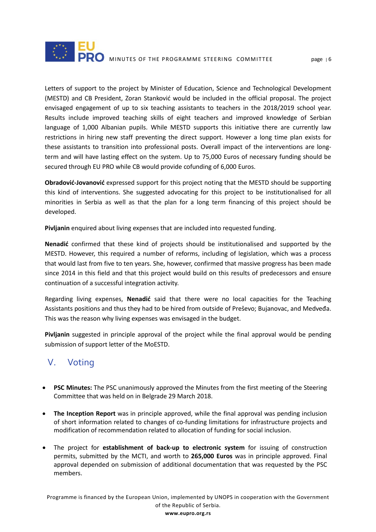

Letters of support to the project by Minister of Education, Science and Technological Development (MESTD) and CB President, Zoran Stanković would be included in the official proposal. The project envisaged engagement of up to six teaching assistants to teachers in the 2018/2019 school year. Results include improved teaching skills of eight teachers and improved knowledge of Serbian language of 1,000 Albanian pupils. While MESTD supports this initiative there are currently law restrictions in hiring new staff preventing the direct support. However a long time plan exists for these assistants to transition into professional posts. Overall impact of the interventions are longterm and will have lasting effect on the system. Up to 75,000 Euros of necessary funding should be secured through EU PRO while CB would provide cofunding of 6,000 Euros.

**Obradović-Jovanović** expressed support for this project noting that the MESTD should be supporting this kind of interventions. She suggested advocating for this project to be institutionalised for all minorities in Serbia as well as that the plan for a long term financing of this project should be developed.

**Pivljanin** enquired about living expenses that are included into requested funding.

**Nenadić** confirmed that these kind of projects should be institutionalised and supported by the MESTD. However, this required a number of reforms, including of legislation, which was a process that would last from five to ten years. She, however, confirmed that massive progress has been made since 2014 in this field and that this project would build on this results of predecessors and ensure continuation of a successful integration activity.

Regarding living expenses, **Nenadić** said that there were no local capacities for the Teaching Assistants positions and thus they had to be hired from outside of Preševo; Bujanovac, and Medveđa. This was the reason why living expenses was envisaged in the budget.

**Pivljanin** suggested in principle approval of the project while the final approval would be pending submission of support letter of the MoESTD.

# V. Voting

- **PSC Minutes:** The PSC unanimously approved the Minutes from the first meeting of the Steering Committee that was held on in Belgrade 29 March 2018.
- **The Inception Report** was in principle approved, while the final approval was pending inclusion of short information related to changes of co-funding limitations for infrastructure projects and modification of recommendation related to allocation of funding for social inclusion.
- The project for **establishment of back-up to electronic system** for issuing of construction permits, submitted by the MCTI, and worth to **265,000 Euros** was in principle approved. Final approval depended on submission of additional documentation that was requested by the PSC members.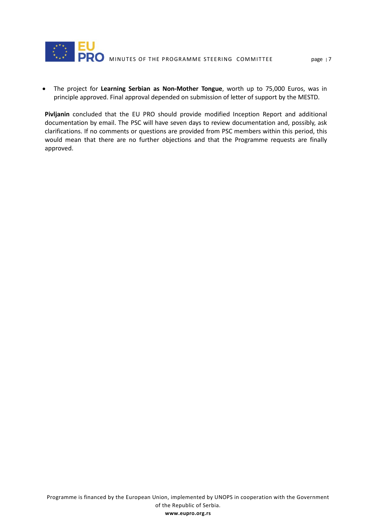

• The project for **Learning Serbian as Non-Mother Tongue**, worth up to 75,000 Euros, was in principle approved. Final approval depended on submission of letter of support by the MESTD.

**Pivljanin** concluded that the EU PRO should provide modified Inception Report and additional documentation by email. The PSC will have seven days to review documentation and, possibly, ask clarifications. If no comments or questions are provided from PSC members within this period, this would mean that there are no further objections and that the Programme requests are finally approved.